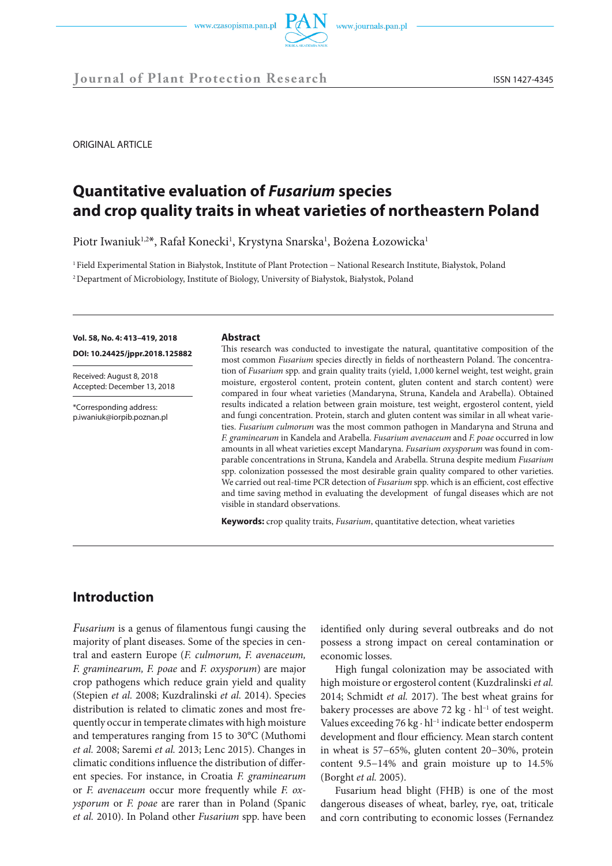

ORIGINAL ARTICLE

# **Quantitative evaluation of** *Fusarium* **species and crop quality traits in wheat varieties of northeastern Poland**

Piotr Iwaniuk<sup>1,2\*</sup>, Rafał Konecki<sup>1</sup>, Krystyna Snarska<sup>1</sup>, Bożena Łozowicka<sup>1</sup>

1 Field Experimental Station in Białystok, Institute of Plant Protection − National Research Institute, Białystok, Poland 2 Department of Microbiology, Institute of Biology, University of Białystok, Białystok, Poland

### **Vol. 58, No. 4: 413–419, 2018 DOI: 10.24425/jppr.2018.125882**

Received: August 8, 2018 Accepted: December 13, 2018

\*Corresponding address: p.iwaniuk@iorpib.poznan.pl

#### **Abstract**

This research was conducted to investigate the natural, quantitative composition of the most common *Fusarium* species directly in fields of northeastern Poland. The concentration of *Fusarium* spp. and grain quality traits (yield, 1,000 kernel weight, test weight, grain moisture, ergosterol content, protein content, gluten content and starch content) were compared in four wheat varieties (Mandaryna, Struna, Kandela and Arabella). Obtained results indicated a relation between grain moisture, test weight, ergosterol content, yield and fungi concentration. Protein, starch and gluten content was similar in all wheat varieties. *Fusarium culmorum* was the most common pathogen in Mandaryna and Struna and *F. graminearum* in Kandela and Arabella. *Fusarium avenaceum* and *F. poae* occurred in low amounts in all wheat varieties except Mandaryna. *Fusarium oxysporum* was found in comparable concentrations in Struna, Kandela and Arabella. Struna despite medium *Fusarium*  spp. colonization possessed the most desirable grain quality compared to other varieties. We carried out real-time PCR detection of *Fusarium* spp. which is an efficient, cost effective and time saving method in evaluating the development of fungal diseases which are not visible in standard observations.

**Keywords:** crop quality traits, *Fusarium*, quantitative detection, wheat varieties

## **Introduction**

*Fusarium* is a genus of filamentous fungi causing the majority of plant diseases. Some of the species in central and eastern Europe (*F. culmorum, F. avenaceum, F. graminearum, F. poae* and *F. oxysporum*) are major crop pathogens which reduce grain yield and quality (Stepien *et al.* 2008; Kuzdralinski *et al.* 2014). Species distribution is related to climatic zones and most frequently occur in temperate climates with high moisture and temperatures ranging from 15 to 30°C (Muthomi *et al.* 2008; Saremi *et al.* 2013; Lenc 2015). Changes in climatic conditions influence the distribution of different species. For instance, in Croatia *F. graminearum*  or *F. avenaceum* occur more frequently while *F. oxysporum* or *F. poae* are rarer than in Poland (Spanic *et al.* 2010). In Poland other *Fusarium* spp. have been

identified only during several outbreaks and do not possess a strong impact on cereal contamination or economic losses.

High fungal colonization may be associated with high moisture or ergosterol content (Kuzdralinski *et al.* 2014; Schmidt *et al.* 2017). The best wheat grains for bakery processes are above 72 kg · hl<sup>-1</sup> of test weight. Values exceeding 76 kg · hl<sup>-1</sup> indicate better endosperm development and flour efficiency. Mean starch content in wheat is 57−65%, gluten content 20−30%, protein content 9.5−14% and grain moisture up to 14.5% (Borght *et al.* 2005).

Fusarium head blight (FHB) is one of the most dangerous diseases of wheat, barley, rye, oat, triticale and corn contributing to economic losses (Fernandez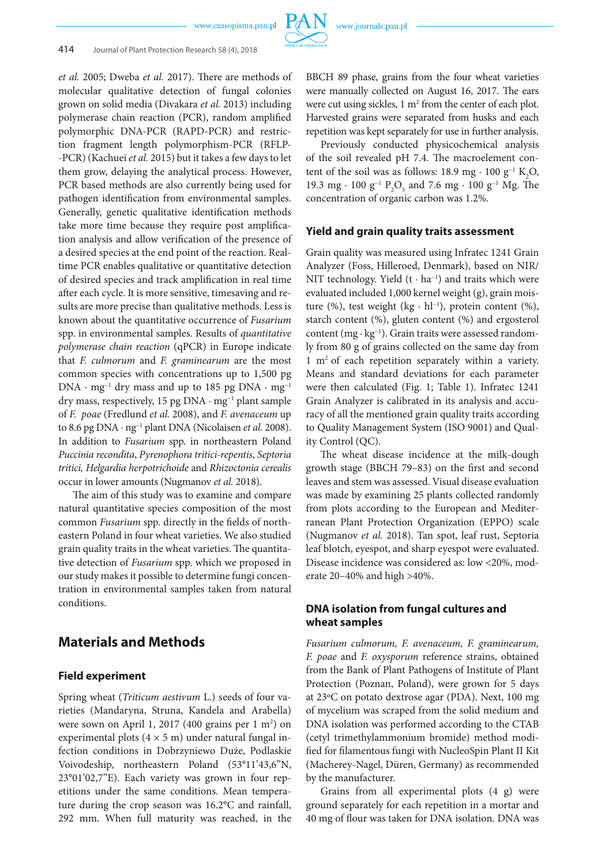

*et al.* 2005; Dweba *et al.* 2017). There are methods of molecular qualitative detection of fungal colonies grown on solid media (Divakara *et al.* 2013) including polymerase chain reaction (PCR), random amplified polymorphic DNA-PCR (RAPD-PCR) and restriction fragment length polymorphism-PCR (RFLP- -PCR) (Kachuei *et al.* 2015) but it takes a few days to let them grow, delaying the analytical process. However, PCR based methods are also currently being used for pathogen identification from environmental samples. Generally, genetic qualitative identification methods take more time because they require post amplification analysis and allow verification of the presence of a desired species at the end point of the reaction. Realtime PCR enables qualitative or quantitative detection of desired species and track amplification in real time after each cycle. It is more sensitive, timesaving and results are more precise than qualitative methods. Less is known about the quantitative occurrence of *Fusarium* spp. in environmental samples. Results of *quantitative polymerase chain reaction* (qPCR) in Europe indicate that *F. culmorum* and *F. graminearum* are the most common species with concentrations up to 1,500 pg DNA · mg−1 dry mass and up to 185 pg DNA · mg−1 dry mass, respectively, 15 pg DNA · mg−1 plant sample of *F. poae* (Fredlund *et al.* 2008), and *F. avenaceum* up to 8.6 pg DNA · ng−1 plant DNA (Nicolaisen *et al.* 2008). In addition to *Fusarium* spp. in northeastern Poland *Puccinia recondita*, *Pyrenophora tritici-repentis*, *Septoria tritici, Helgardia herpotrichoide* and *Rhizoctonia cerealis* occur in lower amounts (Nugmanov *et al.* 2018).

The aim of this study was to examine and compare natural quantitative species composition of the most common *Fusarium* spp. directly in the fields of northeastern Poland in four wheat varieties. We also studied grain quality traits in the wheat varieties. The quantitative detection of *Fusarium* spp. which we proposed in our study makes it possible to determine fungi concentration in environmental samples taken from natural conditions.

### **Materials and Methods**

#### **Field experiment**

Spring wheat (*Triticum aestivum* L.) seeds of four varieties (Mandaryna, Struna, Kandela and Arabella) were sown on April 1, 2017 (400 grains per 1 m<sup>2</sup>) on experimental plots  $(4 \times 5 \text{ m})$  under natural fungal infection conditions in Dobrzyniewo Duże, Podlaskie Voivodeship, northeastern Poland (53°11'43,6''N, 23°01'02,7''E). Each variety was grown in four repetitions under the same conditions. Mean temperature during the crop season was 16.2°C and rainfall, 292 mm. When full maturity was reached, in the

BBCH 89 phase, grains from the four wheat varieties were manually collected on August 16, 2017. The ears were cut using sickles,  $1 \text{ m}^2$  from the center of each plot. Harvested grains were separated from husks and each repetition was kept separately for use in further analysis.

Previously conducted physicochemical analysis of the soil revealed pH 7.4. The macroelement content of the soil was as follows: 18.9 mg · 100 g<sup>-1</sup> K<sub>2</sub>O, 19.3 mg · 100 g<sup>-1</sup> P<sub>2</sub>O<sub>5</sub> and 7.6 mg · 100 g<sup>-1</sup> Mg. The concentration of organic carbon was 1.2%.

#### **Yield and grain quality traits assessment**

Grain quality was measured using Infratec 1241 Grain Analyzer (Foss, Hilleroed, Denmark), based on NIR/ NIT technology. Yield  $(t \cdot ha^{-1})$  and traits which were evaluated included 1,000 kernel weight (g), grain moisture (%), test weight (kg · hl−1), protein content (%), starch content (%), gluten content (%) and ergosterol content (mg · kg−1). Grain traits were assessed randomly from 80 g of grains collected on the same day from 1 m2 of each repetition separately within a variety. Means and standard deviations for each parameter were then calculated (Fig. 1; Table 1). Infratec 1241 Grain Analyzer is calibrated in its analysis and accuracy of all the mentioned grain quality traits according to Quality Management System (ISO 9001) and Quality Control (QC).

The wheat disease incidence at the milk-dough growth stage (BBCH 79–83) on the first and second leaves and stem was assessed. Visual disease evaluation was made by examining 25 plants collected randomly from plots according to the European and Mediterranean Plant Protection Organization (EPPO) scale (Nugmanov *et al.* 2018). Tan spot, leaf rust, Septoria leaf blotch, eyespot, and sharp eyespot were evaluated. Disease incidence was considered as: low <20%, moderate 20–40% and high >40%.

### **DNA isolation from fungal cultures and wheat samples**

*Fusarium culmorum, F. avenaceum, F. graminearum, F. poae* and *F. oxysporum* reference strains, obtained from the Bank of Plant Pathogens of Institute of Plant Protection (Poznan, Poland), were grown for 5 days at 23ºC on potato dextrose agar (PDA). Next, 100 mg of mycelium was scraped from the solid medium and DNA isolation was performed according to the CTAB (cetyl trimethylammonium bromide) method modified for filamentous fungi with NucleoSpin Plant II Kit (Macherey-Nagel, Düren, Germany) as recommended by the manufacturer.

Grains from all experimental plots (4 g) were ground separately for each repetition in a mortar and 40 mg of flour was taken for DNA isolation. DNA was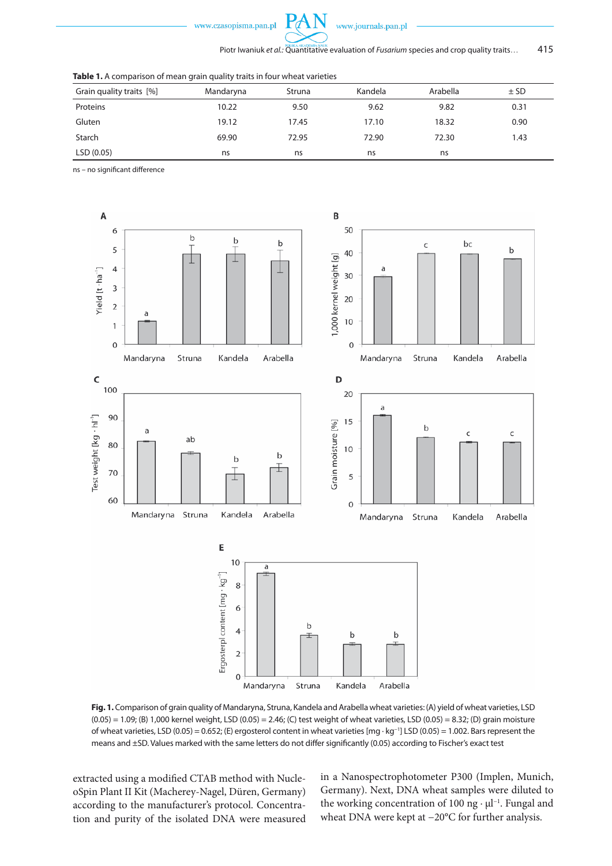

Piotr Iwaniuk *et al.*: Quantitative evaluation of *Fusarium* species and crop quality traits... 415

|  | <b>Table 1.</b> A comparison of mean grain quality traits in four wheat varieties |  |  |  |
|--|-----------------------------------------------------------------------------------|--|--|--|
|--|-----------------------------------------------------------------------------------|--|--|--|

| Grain quality traits [%] | Mandaryna | Struna | Kandela | Arabella | $±$ SD |
|--------------------------|-----------|--------|---------|----------|--------|
| Proteins                 | 10.22     | 9.50   | 9.62    | 9.82     | 0.31   |
| Gluten                   | 19.12     | 17.45  | 17.10   | 18.32    | 0.90   |
| Starch                   | 69.90     | 72.95  | 72.90   | 72.30    | 1.43   |
| LSD (0.05)               | ns        | ns     | ns      | ns       |        |

 $P\mathcal{A}$ 

ns – no significant difference



**Fig. 1.** Comparison of grain quality of Mandaryna, Struna, Kandela and Arabella wheat varieties: (A) yield of wheat varieties, LSD  $(0.05) = 1.09$ ; (B) 1,000 kernel weight, LSD (0.05) = 2.46; (C) test weight of wheat varieties, LSD (0.05) = 8.32; (D) grain moisture of wheat varieties, LSD (0.05) = 0.652; (E) ergosterol content in wheat varieties [mg · kg−1] LSD (0.05) = 1.002. Bars represent the means and ±SD. Values marked with the same letters do not differ significantly (0.05) according to Fischer's exact test

extracted using a modified CTAB method with NucleoSpin Plant II Kit (Macherey-Nagel, Düren, Germany) according to the manufacturer's protocol. Concentration and purity of the isolated DNA were measured in a Nanospectrophotometer P300 (Implen, Munich, Germany). Next, DNA wheat samples were diluted to the working concentration of 100 ng · μl−1. Fungal and wheat DNA were kept at −20°C for further analysis.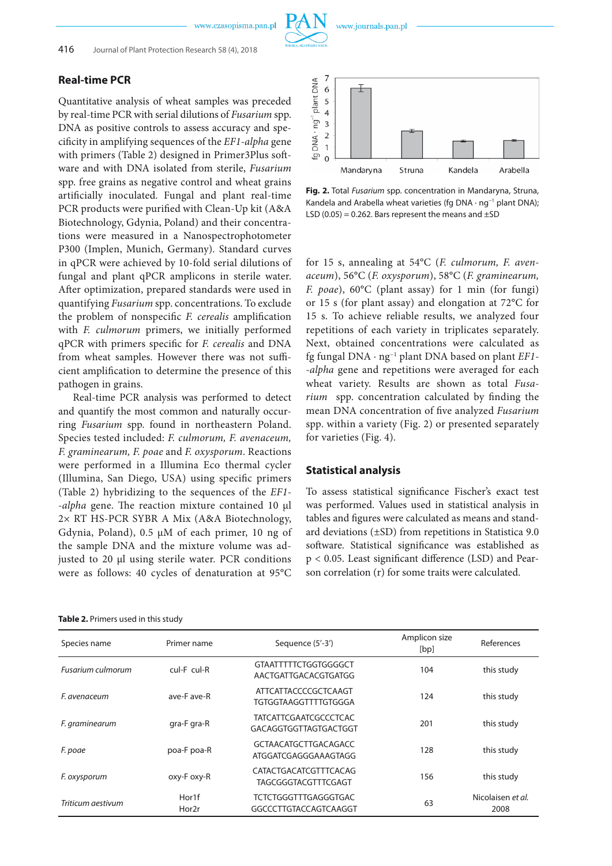### **Real-time PCR**

Quantitative analysis of wheat samples was preceded by real-time PCR with serial dilutions of *Fusarium* spp. DNA as positive controls to assess accuracy and specificity in amplifying sequences of the *EF1-alpha* gene with primers (Table 2) designed in Primer3Plus software and with DNA isolated from sterile, *Fusarium* spp. free grains as negative control and wheat grains artificially inoculated. Fungal and plant real-time PCR products were purified with Clean-Up kit (A&A Biotechnology, Gdynia, Poland) and their concentrations were measured in a Nanospectrophotometer P300 (Implen, Munich, Germany). Standard curves in qPCR were achieved by 10-fold serial dilutions of fungal and plant qPCR amplicons in sterile water. After optimization, prepared standards were used in quantifying *Fusarium* spp. concentrations. To exclude the problem of nonspecific *F. cerealis* amplification with *F. culmorum* primers, we initially performed qPCR with primers specific for *F. cerealis* and DNA from wheat samples. However there was not sufficient amplification to determine the presence of this pathogen in grains.

Real-time PCR analysis was performed to detect and quantify the most common and naturally occurring *Fusarium* spp. found in northeastern Poland. Species tested included: *F. culmorum, F. avenaceum, F. graminearum, F. poae* and *F. oxysporum*. Reactions were performed in a Illumina Eco thermal cycler (Illumina, San Diego, USA) using specific primers (Table 2) hybridizing to the sequences of the *EF1- -alpha* gene. The reaction mixture contained 10 μl 2× RT HS-PCR SYBR A Mix (A&A Biotechnology, Gdynia, Poland), 0.5 μM of each primer, 10 ng of the sample DNA and the mixture volume was adjusted to 20 μl using sterile water. PCR conditions were as follows: 40 cycles of denaturation at 95°C

|  | Table 2. Primers used in this study |  |  |  |
|--|-------------------------------------|--|--|--|
|--|-------------------------------------|--|--|--|



**Fig. 2.** Total *Fusarium* spp. concentration in Mandaryna, Struna, Kandela and Arabella wheat varieties (fg DNA · ng−1 plant DNA); LSD  $(0.05) = 0.262$ . Bars represent the means and  $\pm$ SD

for 15 s, annealing at 54°C (*F. culmorum, F. avenaceum*), 56°C (*F. oxysporum*), 58°C (*F. graminearum, F. poae*), 60°C (plant assay) for 1 min (for fungi) or 15 s (for plant assay) and elongation at 72°C for 15 s. To achieve reliable results, we analyzed four repetitions of each variety in triplicates separately. Next, obtained concentrations were calculated as fg fungal DNA · ng−1 plant DNA based on plant *EF1- -alpha* gene and repetitions were averaged for each wheat variety. Results are shown as total *Fusarium* spp. concentration calculated by finding the mean DNA concentration of five analyzed *Fusarium* spp. within a variety (Fig. 2) or presented separately for varieties (Fig. 4).

#### **Statistical analysis**

To assess statistical significance Fischer's exact test was performed. Values used in statistical analysis in tables and figures were calculated as means and standard deviations (±SD) from repetitions in Statistica 9.0 software. Statistical significance was established as p < 0.05. Least significant difference (LSD) and Pearson correlation (r) for some traits were calculated.

| Species name      | Primer name    | Sequence (5'-3')                                      | Amplicon size<br>[bp] | References                |
|-------------------|----------------|-------------------------------------------------------|-----------------------|---------------------------|
| Fusarium culmorum | cul-F cul-R    | <b>GTAATTTTTCTGGTGGGGCT</b><br>AACTGATTGACACGTGATGG   | 104                   | this study                |
| F. avenaceum      | ave-F ave-R    | <b>ATTCATTACCCCGCTCAAGT</b><br>TGTGGTAAGGTTTTGTGGGA   | 124                   | this study                |
| F. graminearum    | gra-F gra-R    | <b>TATCATTCGAATCGCCCTCAC</b><br>GACAGGTGGTTAGTGACTGGT | 201                   | this study                |
| F. poae           | poa-F poa-R    | <b>GCTAACATGCTTGACAGACC</b><br>ATGGATCGAGGGAAAGTAGG   | 128                   | this study                |
| F. oxysporum      | oxy-F oxy-R    | CATACTGACATCGTTTCACAG<br>TAGCGGGTACGTTTCGAGT          | 156                   | this study                |
| Triticum aestivum | Hor1f<br>Hor2r | <b>TCTCTGGGTTTGAGGGTGAC</b><br>GGCCCTTGTACCAGTCAAGGT  | 63                    | Nicolaisen et al.<br>2008 |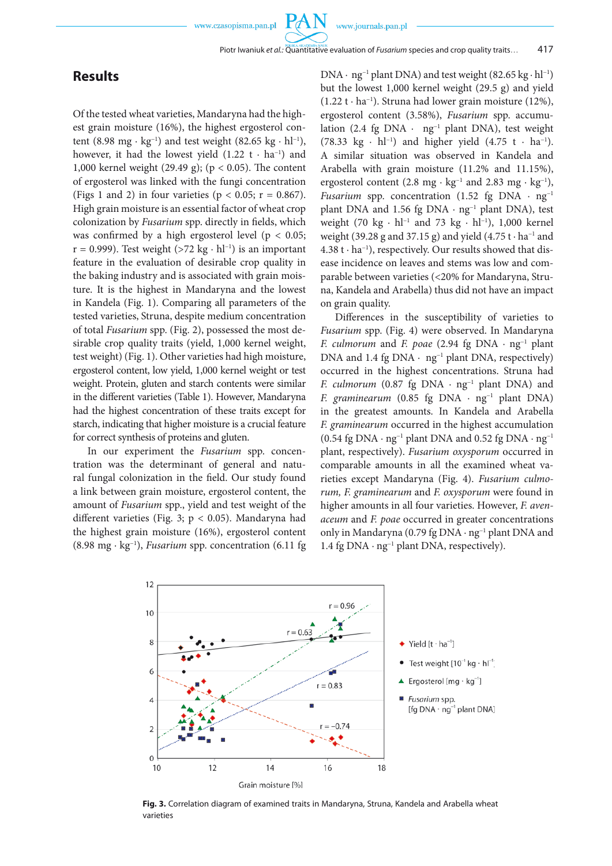$P_{\mathcal{C}}$ 

## **Results**

Of the tested wheat varieties, Mandaryna had the highest grain moisture (16%), the highest ergosterol content (8.98 mg · kg<sup>-1</sup>) and test weight (82.65 kg · hl<sup>-1</sup>), however, it had the lowest yield  $(1.22 \text{ t} \cdot \text{ha}^{-1})$  and 1,000 kernel weight (29.49 g); (p < 0.05). The content of ergosterol was linked with the fungi concentration (Figs 1 and 2) in four varieties ( $p < 0.05$ ;  $r = 0.867$ ). High grain moisture is an essential factor of wheat crop colonization by *Fusarium* spp. directly in fields, which was confirmed by a high ergosterol level ( $p < 0.05$ ; r = 0.999). Test weight (>72 kg · hl<sup>-1</sup>) is an important feature in the evaluation of desirable crop quality in the baking industry and is associated with grain moisture. It is the highest in Mandaryna and the lowest in Kandela (Fig. 1). Comparing all parameters of the tested varieties, Struna, despite medium concentration of total *Fusarium* spp. (Fig. 2), possessed the most desirable crop quality traits (yield, 1,000 kernel weight, test weight) (Fig. 1). Other varieties had high moisture, ergosterol content, low yield, 1,000 kernel weight or test weight. Protein, gluten and starch contents were similar in the different varieties (Table 1). However, Mandaryna had the highest concentration of these traits except for starch, indicating that higher moisture is a crucial feature for correct synthesis of proteins and gluten.

In our experiment the *Fusarium* spp. concentration was the determinant of general and natural fungal colonization in the field. Our study found a link between grain moisture, ergosterol content, the amount of *Fusarium* spp., yield and test weight of the different varieties (Fig. 3; p < 0.05). Mandaryna had the highest grain moisture (16%), ergosterol content (8.98 mg · kg−1), *Fusarium* spp. concentration (6.11 fg DNA · ng−1 plant DNA) and test weight (82.65 kg · hl−1) but the lowest 1,000 kernel weight (29.5 g) and yield (1.22 t · ha−1). Struna had lower grain moisture (12%), ergosterol content (3.58%), *Fusarium* spp. accumulation (2.4 fg DNA · ng−1 plant DNA), test weight (78.33 kg · hl<sup>-1</sup>) and higher yield (4.75 t · ha<sup>-1</sup>). A similar situation was observed in Kandela and Arabella with grain moisture (11.2% and 11.15%), ergosterol content (2.8 mg · kg<sup>-1</sup> and 2.83 mg · kg<sup>-1</sup>), *Fusarium* spp. concentration (1.52 fg DNA · ng<sup>-1</sup> plant DNA and 1.56 fg DNA · ng<sup>-1</sup> plant DNA), test weight (70 kg · hl<sup>-1</sup> and 73 kg · hl<sup>-1</sup>), 1,000 kernel weight (39.28 g and 37.15 g) and yield (4.75 t  $\cdot$  ha<sup>-1</sup> and 4.38 t · ha−1), respectively. Our results showed that disease incidence on leaves and stems was low and comparable between varieties (<20% for Mandaryna, Struna, Kandela and Arabella) thus did not have an impact on grain quality.

Differences in the susceptibility of varieties to *Fusarium* spp. (Fig. 4) were observed. In Mandaryna *F. culmorum* and *F. poae* (2.94 fg DNA · ng−1 plant DNA and 1.4 fg DNA · ng−1 plant DNA, respectively) occurred in the highest concentrations. Struna had *F. culmorum* (0.87 fg DNA · ng<sup>-1</sup> plant DNA) and *F. graminearum* (0.85 fg DNA · ng<sup>-1</sup> plant DNA) in the greatest amounts. In Kandela and Arabella *F. graminearum* occurred in the highest accumulation (0.54 fg DNA · ng<sup>-1</sup> plant DNA and 0.52 fg DNA · ng<sup>-1</sup> plant, respectively). *Fusarium oxysporum* occurred in comparable amounts in all the examined wheat varieties except Mandaryna (Fig. 4). *Fusarium culmorum, F. graminearum* and *F. oxysporum* were found in higher amounts in all four varieties. However, *F. avenaceum* and *F. poae* occurred in greater concentrations only in Mandaryna (0.79 fg DNA · ng−1 plant DNA and 1.4 fg DNA · ng−1 plant DNA, respectively).



**Fig. 3.** Correlation diagram of examined traits in Mandaryna, Struna, Kandela and Arabella wheat varieties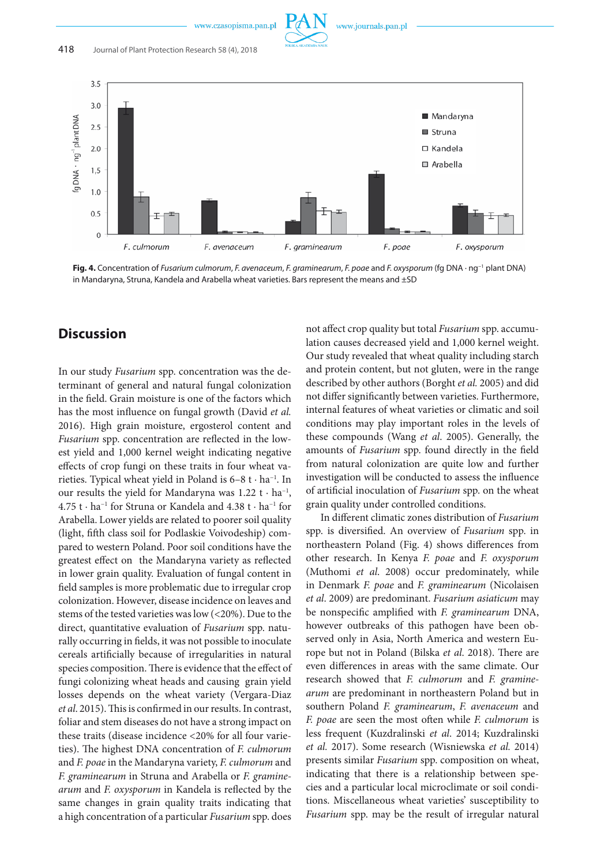www.journals.pan.pl



**Fig. 4.** Concentration of *Fusarium culmorum*, *F. avenaceum*, *F. graminearum*, *F. poae* and *F. oxysporum* (fg DNA · ng−1 plant DNA) in Mandaryna, Struna, Kandela and Arabella wheat varieties. Bars represent the means and ±SD

## **Discussion**

In our study *Fusarium* spp. concentration was the determinant of general and natural fungal colonization in the field. Grain moisture is one of the factors which has the most influence on fungal growth (David *et al.* 2016). High grain moisture, ergosterol content and *Fusarium* spp. concentration are reflected in the lowest yield and 1,000 kernel weight indicating negative effects of crop fungi on these traits in four wheat varieties. Typical wheat yield in Poland is 6–8 t · ha−1. In our results the yield for Mandaryna was  $1.22$  t · ha<sup>-1</sup>, 4.75 t · ha−1 for Struna or Kandela and 4.38 t · ha−1 for Arabella. Lower yields are related to poorer soil quality (light, fifth class soil for Podlaskie Voivodeship) compared to western Poland. Poor soil conditions have the greatest effect on the Mandaryna variety as reflected in lower grain quality. Evaluation of fungal content in field samples is more problematic due to irregular crop colonization. However, disease incidence on leaves and stems of the tested varieties was low (<20%). Due to the direct, quantitative evaluation of *Fusarium* spp. naturally occurring in fields, it was not possible to inoculate cereals artificially because of irregularities in natural species composition. There is evidence that the effect of fungi colonizing wheat heads and causing grain yield losses depends on the wheat variety (Vergara-Diaz *et al*. 2015). This is confirmed in our results. In contrast, foliar and stem diseases do not have a strong impact on these traits (disease incidence <20% for all four varieties). The highest DNA concentration of *F. culmorum* and *F. poae* in the Mandaryna variety, *F. culmorum* and *F. graminearum* in Struna and Arabella or *F. graminearum* and *F. oxysporum* in Kandela is reflected by the same changes in grain quality traits indicating that a high concentration of a particular *Fusarium* spp. does

not affect crop quality but total *Fusarium* spp. accumulation causes decreased yield and 1,000 kernel weight. Our study revealed that wheat quality including starch and protein content, but not gluten, were in the range described by other authors (Borght *et al.* 2005) and did not differ significantly between varieties. Furthermore, internal features of wheat varieties or climatic and soil conditions may play important roles in the levels of these compounds (Wang *et al*. 2005). Generally, the amounts of *Fusarium* spp. found directly in the field from natural colonization are quite low and further investigation will be conducted to assess the influence of artificial inoculation of *Fusarium* spp. on the wheat grain quality under controlled conditions.

In different climatic zones distribution of *Fusarium*  spp. is diversified. An overview of *Fusarium* spp. in northeastern Poland (Fig. 4) shows differences from other research. In Kenya *F. poae* and *F. oxysporum* (Muthomi *et al*. 2008) occur predominately, while in Denmark *F. poae* and *F. graminearum* (Nicolaisen *et al*. 2009) are predominant. *Fusarium asiaticum* may be nonspecific amplified with *F. graminearum* DNA, however outbreaks of this pathogen have been observed only in Asia, North America and western Europe but not in Poland (Bilska *et al*. 2018). There are even differences in areas with the same climate. Our research showed that *F. culmorum* and *F. graminearum* are predominant in northeastern Poland but in southern Poland *F. graminearum*, *F. avenaceum* and *F. poae* are seen the most often while *F. culmorum* is less frequent (Kuzdralinski *et al*. 2014; Kuzdralinski *et al.* 2017). Some research (Wisniewska *et al.* 2014) presents similar *Fusarium* spp. composition on wheat, indicating that there is a relationship between species and a particular local microclimate or soil conditions. Miscellaneous wheat varieties' susceptibility to *Fusarium* spp. may be the result of irregular natural